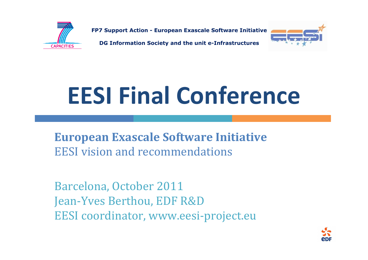

FP7 Support Action - European Exascale Software Initiative

DG Information Society and the unit e-Infrastructures



# EESI Final Conference

European Exascale Software InitiativeEESI vision and recommendations

Barcelona, October 2011 Jean-Yves Berthou, EDF R&DEESI coordinator, www.eesi-project.eu

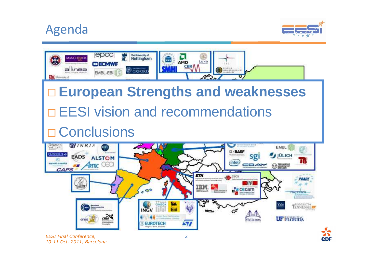# Agenda



e<sub>DF</sub>

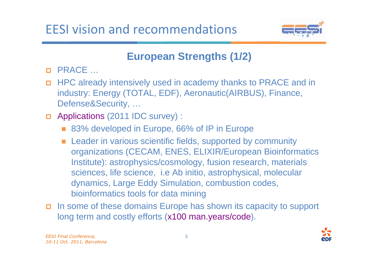

## **European Strengths (1/2)**

- □ PRACE …
- **EXECUTE:** HPC already intensively used in academy thanks to PRACE and in industry: Energy (TOTAL, EDF), Aeronautic(AIRBUS), Finance, Defense&Security, …
- □ Applications (2011 IDC survey) :
	- 83% developed in Europe, 66% of IP in Europe
	- **Leader in various scientific fields, supported by community** organizations (CECAM, ENES, ELIXIR/European Bioinformatics Institute): astrophysics/cosmology, fusion research, materials sciences, life science, i.e Ab initio, astrophysical, molecular dynamics, Large Eddy Simulation, combustion codes, bioinformatics tools for data mining
- In some of these domains Europe has shown its capacity to support long term and costly efforts (x100 man.years/code).

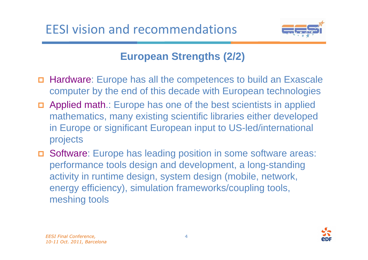

## **European Strengths (2/2)**

- - Hardware: Europe has all the competences to build an Exascale computer by the end of this decade with European technologies
- **D** Applied math.: Europe has one of the best scientists in applied mathematics, many existing scientific libraries either developed in Europe or significant European input to US-led/international projects
- - Software: Europe has leading position in some software areas: performance tools design and development, a long-standing activity in runtime design, system design (mobile, network, energy efficiency), simulation frameworks/coupling tools, meshing tools

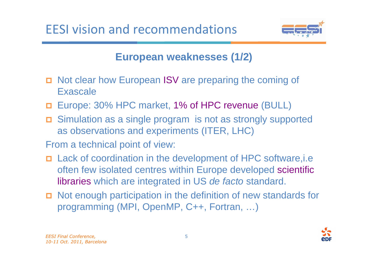

## **European weaknesses (1/2)**

- n Not clear how European ISV are preparing the coming of Exascale
- □ Europe: 30% HPC market, 1% of HPC revenue (BULL)
- Simulation as a single program is not as strongly supported as observations and experiments (ITER, LHC)
- From a technical point of view:
- Lack of coordination in the development of HPC software,i.e often few isolated centres within Europe developed scientific l<mark>ibraries</mark> which are integrated in US *de facto* standard.
- **D** Not enough participation in the definition of new standards for programming (MPI, OpenMP, C++, Fortran, …)

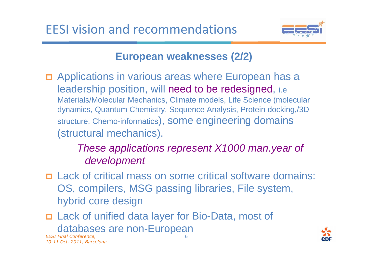

#### **European weaknesses (2/2)**

n Applications in various areas where European has a leadership position, will need to be redesigned, i.e Materials/Molecular Mechanics, Climate models, Life Science (molecular dynamics, Quantum Chemistry, Sequence Analysis, Protein docking,/3D structure, Chemo-informatics), some engineering domains (structural mechanics).

#### These applications represent X1000 man.year of development

- Lack of critical mass on some critical software domains: OS, compilers, MSG passing libraries, File system, hybrid core design
- EESI Final Conference, 6- Lack of unified data layer for Bio-Data, most of databases are non-European

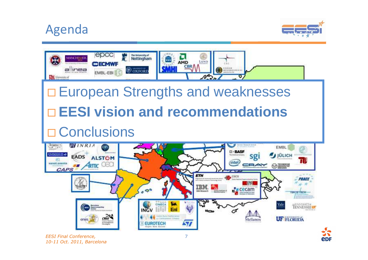# Agenda



e<sub>DF</sub>

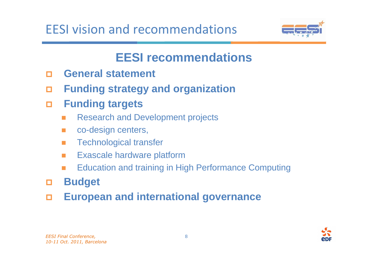

# **EESI recommendations**

- $\Box$ **General statement**
- $\Box$ **Funding strategy and organization**
- - **Funding targets**
	- $\mathbf{r}$ Research and Development projects
	- $\mathbf{r}$ co-design centers,
	- $\mathcal{L}_{\mathcal{A}}$ Technological transfer
	- $\mathcal{L}_{\mathcal{A}}$ Exascale hardware platform
	- Education and training in High Performance Computing  $\blacksquare$
- -**Budget**
- $\Box$ **European and international governance**

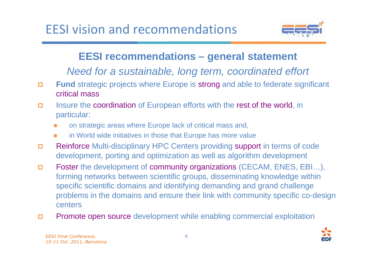

## **EESI recommendations – general statement**

Need for a sustainable, long term, coordinated effort

- $\Box$  **Fund** strategic projects where Europe is strong and able to federate significant critical mass
- $\Box$  Insure the coordination of European efforts with the rest of the world, in particular:
	- П on strategic areas where Europe lack of critical mass and,
	- in World wide initiatives in those that Europe has more value
- $\Box$  Reinforce Multi-disciplinary HPC Centers providing support in terms of code development, porting and optimization as well as algorithm development
- $\Box$  Foster the development of community organizations (CECAM, ENES, EBI…), forming networks between scientific groups, disseminating knowledge within specific scientific domains and identifying demanding and grand challenge problems in the domains and ensure their link with community specific co-design centers
- $\Box$ Promote open source development while enabling commercial exploitation

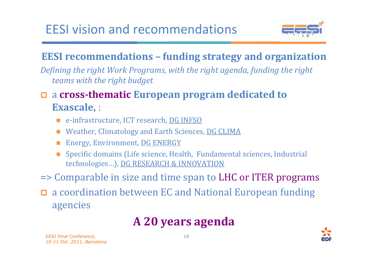

## EESI recommendations – funding strategy and organization

Defining the right Work Programs, with the right agenda, funding the right teams with the right budget

- <sup>a</sup>cross-thematic European program dedicated to Exascale, :

- e-infrastructure, ICT research, <u>DG INFSO</u>
- × Weather, Climatology and Earth Sciences, DG CLIMA
- × Energy, Environment, DG ENERGY
- Specific domains (Life science, Health, Fundamental sciences, Industrial technologies…), DG RESEARCH & INNOVATION

=> Comparable in size and time span to LHC or ITER programs

□ a coordination between EC and National European funding agencies

# A 20 years agenda

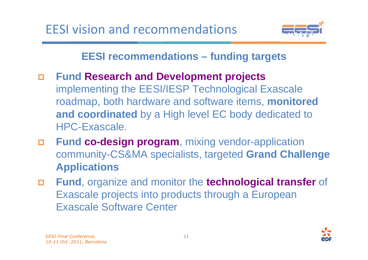

## **EESI recommendations – funding targets**

- $\Box$  **Fund Research and Development projects** implementing the EESI/IESP Technological Exascale roadmap, both hardware and software items, **monitored** and coordinated by a High level EC body dedicated to HPC-Exascale.
- - **Fund co-design program**, mixing vendor-application community-CS&MA specialists, targeted **Grand Challenge Applications**
- - **Fund**, organize and monitor the **technological transfer** of Exascale projects into products through a European Exascale Software Center

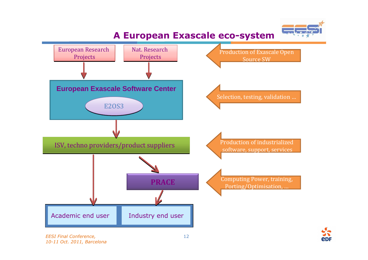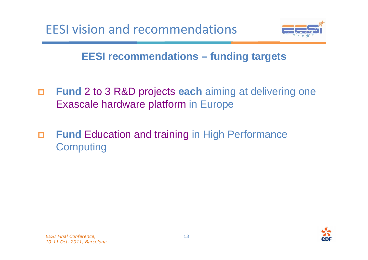



## **EESI recommendations – funding targets**

- $\Box$  **Fund** 2 to 3 R&D projects **each** aiming at delivering one Exascale hardware platform in Europe
- $\Box$  **Fund** Education and training in High Performance **Computing**

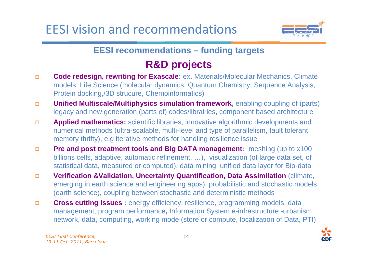EESI vision and recommendations



**EESI recommendations – funding targets**

## **R&D projects**

- **Code redesign, rewriting for Exascale:** ex. Materials/Molecular Mechanics, Climate  $\Box$ models, Life Science (molecular dynamics, Quantum Chemistry, Sequence Analysis, Protein docking,/3D strucure, Chemoinformatics)
- $\Box$ **Unified Multiscale/Multiphysics simulation framework, enabling coupling of (parts)** legacy and new generation (parts of) codes/librairies, component based architecture
- $\Box$  **Applied mathematics:** scientific libraries, innovative algorithmic developments and numerical methods (ultra-scalable, multi-level and type of parallelism, fault tolerant, memory thrifty), e.g iterative methods for handling resilience issue
- $\Box$ **Pre and post treatment tools and Big DATA management:** meshing (up to x100 billions cells, adaptive, automatic refinement, …), visualization (of large data set, of statistical data, measured or computed), data mining, unified data layer for Bio-data
- **Verification &Validation, Uncertainty Quantification, Data Assimilation** (climate,  $\Box$ emerging in earth science and engineering apps), probabilistic and stochastic models (earth science), coupling between stochastic and deterministic methods
- -**Cross cutting issues** : energy efficiency, resilience, programming models, data management, program performance**,** Information System e-infrastructure -urbanism network, data, computing, working mode (store or compute, localization of Data, PTI)

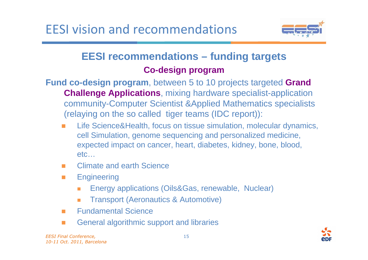

#### **EESI recommendations – funding targetsCo-design program**

- **Fund co-design program**, between 5 to 10 projects targeted **Grand Challenge Applications**, mixing hardware specialist-application community-Computer Scientist &Applied Mathematics specialists (relaying on the so called tiger teams (IDC report)):
	- m. Life Science&Health, focus on tissue simulation, molecular dynamics, cell Simulation, genome sequencing and personalized medicine, expected impact on cancer, heart, diabetes, kidney, bone, blood,etc…
	- Climate and earth Science  $\mathcal{L}_{\mathcal{A}}$
	- $\mathcal{L}^{\mathcal{L}}$ **Engineering** 
		- $\overline{\phantom{a}}$ Energy applications (Oils&Gas, renewable, Nuclear)
		- $\overline{\phantom{a}}$ Transport (Aeronautics & Automotive)
	- $\mathcal{L}^{\mathcal{L}}$ Fundamental Science
	- **COL** General algorithmic support and libraries

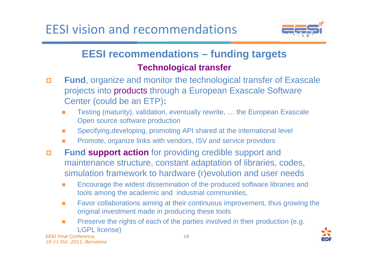

### **EESI recommendations – funding targetsTechnological transfer**

- - **Fund**, organize and monitor the technological transfer of Exascale projects into products through a European Exascale Software Center (could be an ETP)**:**
	- Testing (maturity), validation, eventually rewrite, … the European Exascale Open source software production
	- **COL** Specifying,developing, promoting API shared at the international level
	- Promote, organize links with vendors, ISV and service providers
- - **Fund support action** for providing credible support and maintenance structure, constant adaptation of libraries, codes, simulation framework to hardware (r)evolution and user needs
	- Encourage the widest dissemination of the produced software libraries and tools among the academic and industrial communities,
	- $\mathcal{L}_{\mathcal{A}}$  Favor collaborations aiming at their continuous improvement, thus growing the original investment made in producing these tools
	- $\mathcal{L}_{\mathcal{A}}$  Preserve the rights of each of the parties involved in their production (e.g. LGPL license)

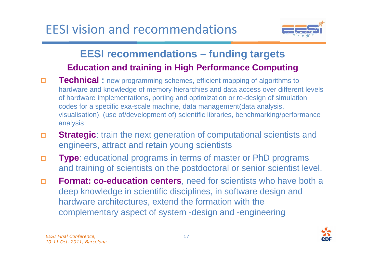

### **EESI recommendations – funding targetsEducation and training in High Performance Computing**

- $\Box$ **Technical** : new programming schemes, efficient mapping of algorithms to hardware and knowledge of memory hierarchies and data access over different levels of hardware implementations, porting and optimization or re-design of simulation codes for a specific exa-scale machine, data management(data analysis, visualisation), (use of/development of) scientific libraries, benchmarking/performance analysis
- $\Box$ **Strategic:** train the next generation of computational scientists and engineers, attract and retain young scientists
- $\Box$  **Type**: educational programs in terms of master or PhD programs and training of scientists on the postdoctoral or senior scientist level.
- $\Box$  **Format: co-education centers**, need for scientists who have both a deep knowledge in scientific disciplines, in software design andhardware architectures, extend the formation with the complementary aspect of system -design and -engineering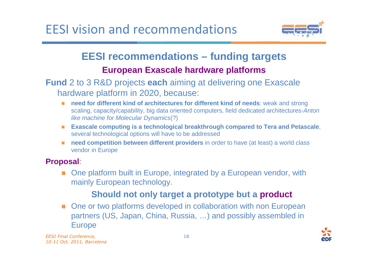EESI vision and recommendations



# **EESI recommendations – funding targets**

#### **European Exascale hardware platforms**

#### **Fund** 2 to 3 R&D projects **each** aiming at delivering one Exascale hardware platform in 2020, because:

- $\blacksquare$  **need for different kind of architectures for different kind of needs**: weak and strong scaling, capacity/capability, big data oriented computers, field dedicated architectures-Anton like machine for Molecular Dynamics(?)
- $\mathcal{C}_{\mathcal{A}}$  **Exascale computing is a technological breakthrough compared to Tera and Petascale**, several technological options will have to be addressed
- **need competition between different providers** in order to have (at least) a world class  $\blacksquare$ vendor in Europe

#### **Proposal**:

٠ One platform built in Europe, integrated by a European vendor, with mainly European technology.

#### **Should not only target a prototype but a product**

■ One or two platforms developed in collaboration with non European partners (US, Japan, China, Russia, …) and possibly assembled in Europe

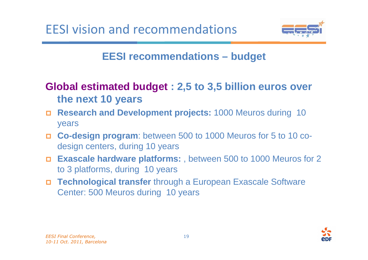

## **EESI recommendations – budget**

## **Global estimated budget : 2,5 to 3,5 billion euros over the next 10 years**

- **Research and Development projects:** 1000 Meuros during 10 years
- **Co-design program**: between 500 to 1000 Meuros for 5 to 10 codesign centers, during 10 years
- **Exascale hardware platforms:** , between 500 to 1000 Meuros for 2 to 3 platforms, during 10 years
- - **Technological transfer** through a European Exascale Software Center: 500 Meuros during 10 years

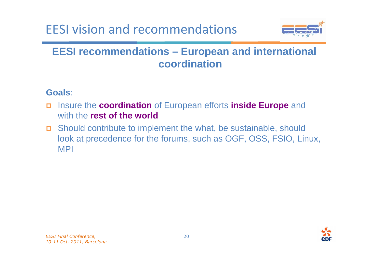# EESI vision and recommendations



#### **EESI recommendations – European and international coordination**

#### **Goals**:

- Insure the **coordination** of European efforts **inside Europe** and with the **rest of the world**
- Should contribute to implement the what, be sustainable, should look at precedence for the forums, such as OGF, OSS, FSIO, Linux, MPI

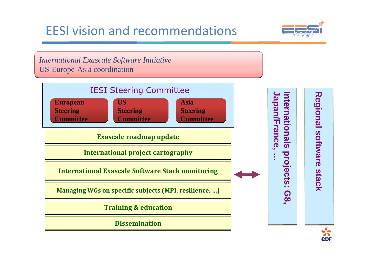## EESI vision and recommendations



*International Exascale Software Initiative*US-Europe-Asia coordination

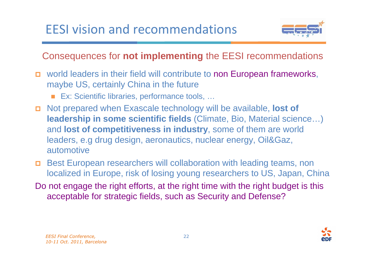

# Consequences for **not implementing** the EESI recommendations

- n world leaders in their field will contribute to non European frameworks, maybe US, certainly China in the future
	- Ex: Scientific libraries, performance tools, ...
- Not prepared when Exascale technology will be available, **lost of leadership in some scientific fields** (Climate, Bio, Material science…) and **lost of competitiveness in industry**, some of them are world leaders, e.g drug design, aeronautics, nuclear energy, Oil&Gaz, automotive
- **D** Best European researchers will collaboration with leading teams, non localized in Europe, risk of losing young researchers to US, Japan, China
- Do not engage the right efforts, at the right time with the right budget is this acceptable for strategic fields, such as Security and Defense?

22

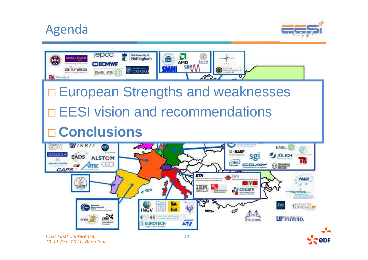# Agenda





10-11 Oct. 2011, Barcelona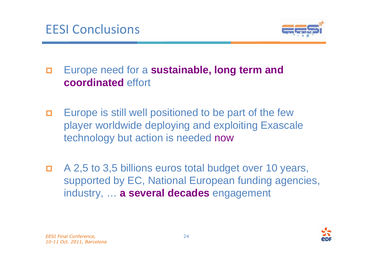

#### - Europe need for a **sustainable, long term and coordinated** effort

- $\Box$  Europe is still well positioned to be part of the few player worldwide deploying and exploiting Exascale technology but action is needed now
- О. A 2,5 to 3,5 billions euros total budget over 10 years, supported by EC, National European funding agencies, industry, … **a several decades** engagement

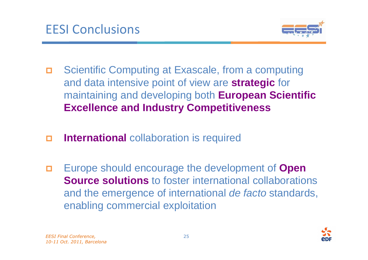

- - Scientific Computing at Exascale, from a computing and data intensive point of view are **strategic** for maintaining and developing both **European Scientific Excellence and Industry Competitiveness**
- -**International** collaboration is required
- - Europe should encourage the development of **Open Source solutions** to foster international collaborations and the emergence of international de facto standards, enabling commercial exploitation